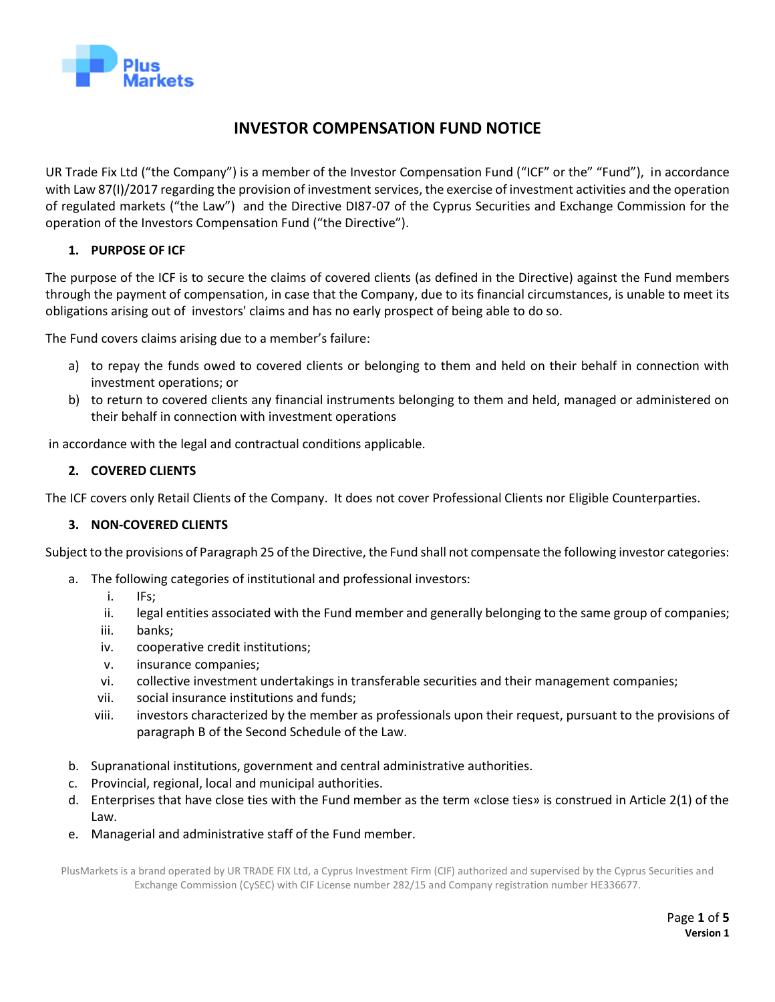

# **INVESTOR COMPENSATION FUND NOTICE**

UR Trade Fix Ltd ("the Company") is a member of the Investor Compensation Fund ("ICF" or the" "Fund"), in accordance with Law 87(I)/2017 regarding the provision of investment services, the exercise of investment activities and the operation of regulated markets ("the Law") and the Directive DI87-07 of the Cyprus Securities and Exchange Commission for the operation of the Investors Compensation Fund ("the Directive").

## **1. PURPOSE OF ICF**

The purpose of the ICF is to secure the claims of covered clients (as defined in the Directive) against the Fund members through the payment of compensation, in case that the Company, due to its financial circumstances, is unable to meet its obligations arising out of investors' claims and has no early prospect of being able to do so.

The Fund covers claims arising due to a member's failure:

- a) to repay the funds owed to covered clients or belonging to them and held on their behalf in connection with investment operations; or
- b) to return to covered clients any financial instruments belonging to them and held, managed or administered on their behalf in connection with investment operations

in accordance with the legal and contractual conditions applicable.

### **2. COVERED CLIENTS**

The ICF covers only Retail Clients of the Company. It does not cover Professional Clients nor Eligible Counterparties.

### **3. NON-COVERED CLIENTS**

Subject to the provisions of Paragraph 25 of the Directive, the Fund shall not compensate the following investor categories:

- a. The following categories of institutional and professional investors:
	- i. IFs;
	- ii. legal entities associated with the Fund member and generally belonging to the same group of companies;
	- iii. banks;
	- iv. cooperative credit institutions;
	- v. insurance companies;
	- vi. collective investment undertakings in transferable securities and their management companies;
	- vii. social insurance institutions and funds;
	- viii. investors characterized by the member as professionals upon their request, pursuant to the provisions of paragraph Β of the Second Schedule of the Law.
- b. Supranational institutions, government and central administrative authorities.
- c. Provincial, regional, local and municipal authorities.
- d. Enterprises that have close ties with the Fund member as the term «close ties» is construed in Article 2(1) of the Law.
- e. Managerial and administrative staff of the Fund member.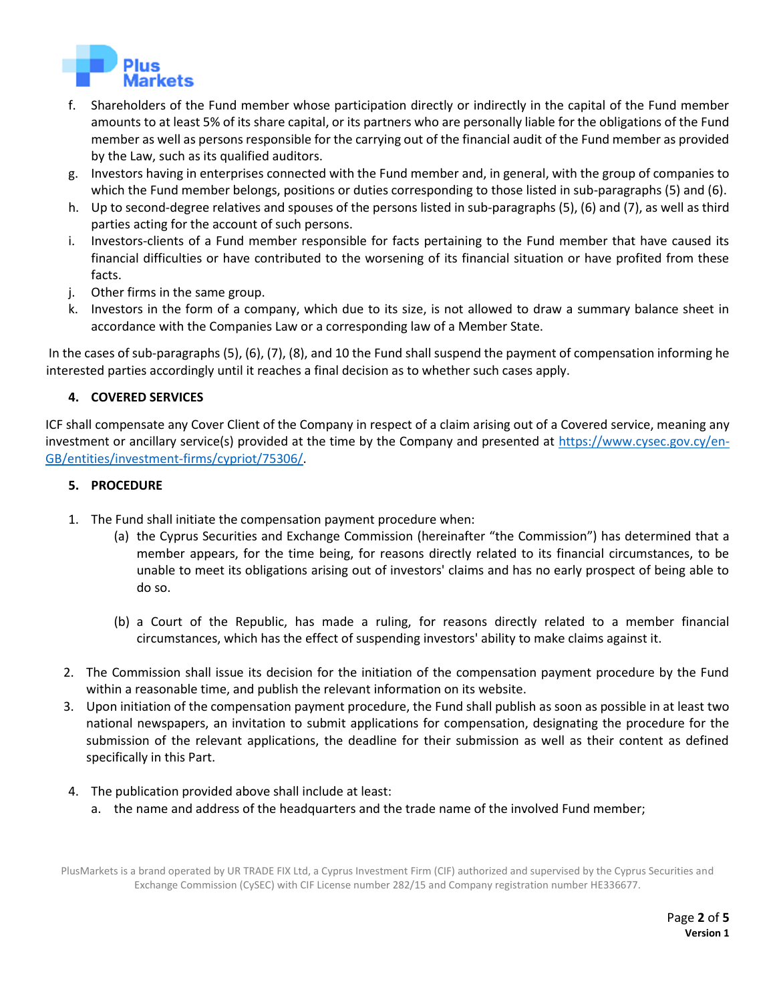

- f. Shareholders of the Fund member whose participation directly or indirectly in the capital of the Fund member amounts to at least 5% of its share capital, or its partners who are personally liable for the obligations of the Fund member as well as persons responsible for the carrying out of the financial audit of the Fund member as provided by the Law, such as its qualified auditors.
- g. Investors having in enterprises connected with the Fund member and, in general, with the group of companies to which the Fund member belongs, positions or duties corresponding to those listed in sub-paragraphs (5) and (6).
- h. Up to second-degree relatives and spouses of the persons listed in sub-paragraphs (5), (6) and (7), as well as third parties acting for the account of such persons.
- i. Investors-clients of a Fund member responsible for facts pertaining to the Fund member that have caused its financial difficulties or have contributed to the worsening of its financial situation or have profited from these facts.
- j. Other firms in the same group.
- k. Investors in the form of a company, which due to its size, is not allowed to draw a summary balance sheet in accordance with the Companies Law or a corresponding law of a Member State.

In the cases of sub-paragraphs (5), (6), (7), (8), and 10 the Fund shall suspend the payment of compensation informing he interested parties accordingly until it reaches a final decision as to whether such cases apply.

### **4. COVERED SERVICES**

ICF shall compensate any Cover Client of the Company in respect of a claim arising out of a Covered service, meaning any investment or ancillary service(s) provided at the time by the Company and presented at [https://www.cysec.gov.cy/en-](https://www.cysec.gov.cy/en-GB/entities/investment-firms/cypriot/75306/)[GB/entities/investment-firms/cypriot/75306/.](https://www.cysec.gov.cy/en-GB/entities/investment-firms/cypriot/75306/)

#### **5. PROCEDURE**

- 1. The Fund shall initiate the compensation payment procedure when:
	- (a) the Cyprus Securities and Exchange Commission (hereinafter "the Commission") has determined that a member appears, for the time being, for reasons directly related to its financial circumstances, to be unable to meet its obligations arising out of investors' claims and has no early prospect of being able to do so.
	- (b) a Court of the Republic, has made a ruling, for reasons directly related to a member financial circumstances, which has the effect of suspending investors' ability to make claims against it.
- 2. The Commission shall issue its decision for the initiation of the compensation payment procedure by the Fund within a reasonable time, and publish the relevant information on its website.
- 3. Upon initiation of the compensation payment procedure, the Fund shall publish as soon as possible in at least two national newspapers, an invitation to submit applications for compensation, designating the procedure for the submission of the relevant applications, the deadline for their submission as well as their content as defined specifically in this Part.
- 4. The publication provided above shall include at least:
	- a. the name and address of the headquarters and the trade name of the involved Fund member;

PlusMarkets is a brand operated by UR TRADE FIX Ltd, a Cyprus Investment Firm (CIF) authorized and supervised by the Cyprus Securities and Exchange Commission (CySEC) with CIF License number 282/15 and Company registration number HE336677.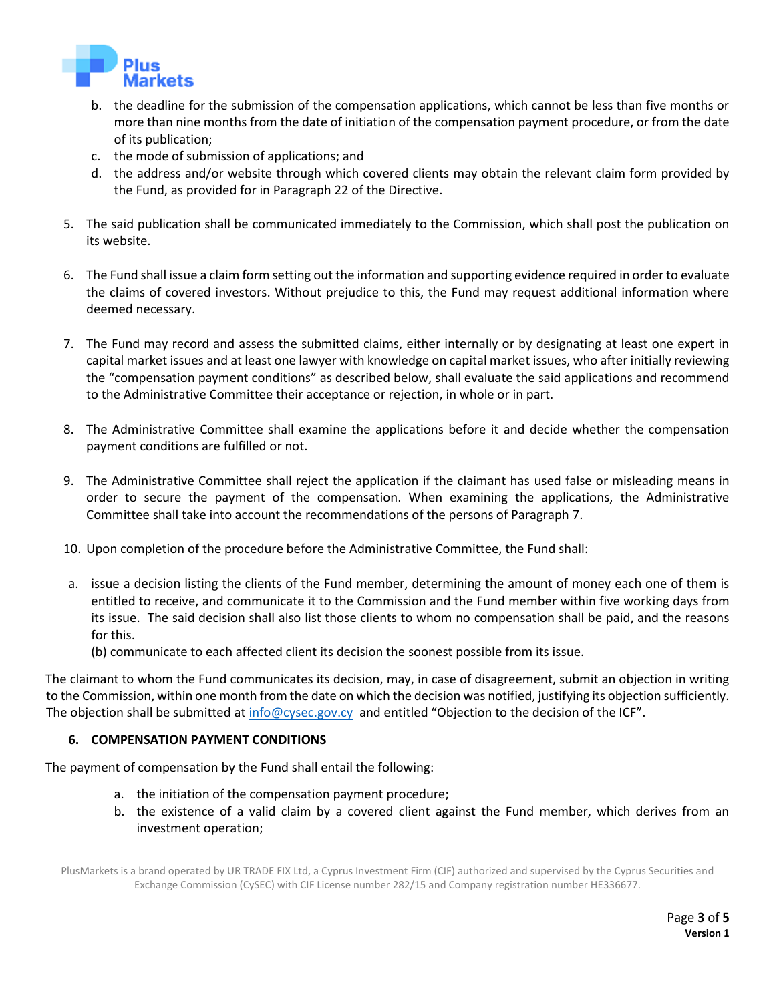

- b. the deadline for the submission of the compensation applications, which cannot be less than five months or more than nine months from the date of initiation of the compensation payment procedure, or from the date of its publication;
- c. the mode of submission of applications; and
- d. the address and/or website through which covered clients may obtain the relevant claim form provided by the Fund, as provided for in Paragraph 22 of the Directive.
- 5. The said publication shall be communicated immediately to the Commission, which shall post the publication on its website.
- 6. The Fund shall issue a claim form setting out the information and supporting evidence required in order to evaluate the claims of covered investors. Without prejudice to this, the Fund may request additional information where deemed necessary.
- 7. The Fund may record and assess the submitted claims, either internally or by designating at least one expert in capital market issues and at least one lawyer with knowledge on capital market issues, who after initially reviewing the "compensation payment conditions" as described below, shall evaluate the said applications and recommend to the Administrative Committee their acceptance or rejection, in whole or in part.
- 8. The Administrative Committee shall examine the applications before it and decide whether the compensation payment conditions are fulfilled or not.
- 9. The Administrative Committee shall reject the application if the claimant has used false or misleading means in order to secure the payment of the compensation. When examining the applications, the Administrative Committee shall take into account the recommendations of the persons of Paragraph 7.
- 10. Upon completion of the procedure before the Administrative Committee, the Fund shall:
- a. issue a decision listing the clients of the Fund member, determining the amount of money each one of them is entitled to receive, and communicate it to the Commission and the Fund member within five working days from its issue. The said decision shall also list those clients to whom no compensation shall be paid, and the reasons for this.
	- (b) communicate to each affected client its decision the soonest possible from its issue.

The claimant to whom the Fund communicates its decision, may, in case of disagreement, submit an objection in writing to the Commission, within one month from the date on which the decision was notified, justifying its objection sufficiently. The objection shall be submitted a[t info@cysec.gov.cy](mailto:info@cysec.gov.cy) and entitled "Objection to the decision of the ICF".

### **6. COMPENSATION PAYMENT CONDITIONS**

The payment of compensation by the Fund shall entail the following:

- a. the initiation of the compensation payment procedure;
- b. the existence of a valid claim by a covered client against the Fund member, which derives from an investment operation;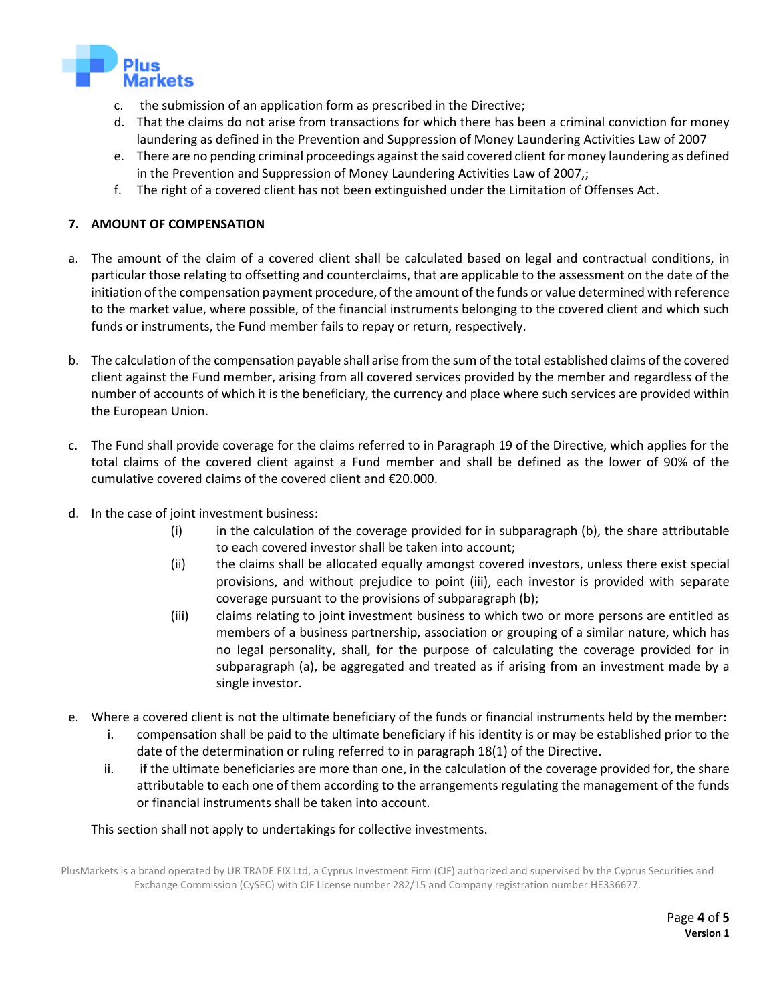

- c. the submission of an application form as prescribed in the Directive;
- d. That the claims do not arise from transactions for which there has been a criminal conviction for money laundering as defined in the Prevention and Suppression of Money Laundering Activities Law of 2007
- e. There are no pending criminal proceedings against the said covered client for money laundering as defined in the Prevention and Suppression of Money Laundering Activities Law of 2007,;
- f. The right of a covered client has not been extinguished under the Limitation of Offenses Act.

#### **7. AMOUNT OF COMPENSATION**

- a. The amount of the claim of a covered client shall be calculated based on legal and contractual conditions, in particular those relating to offsetting and counterclaims, that are applicable to the assessment on the date of the initiation of the compensation payment procedure, of the amount of the funds or value determined with reference to the market value, where possible, of the financial instruments belonging to the covered client and which such funds or instruments, the Fund member fails to repay or return, respectively.
- b. The calculation of the compensation payable shall arise from the sum of the total established claims of the covered client against the Fund member, arising from all covered services provided by the member and regardless of the number of accounts of which it is the beneficiary, the currency and place where such services are provided within the European Union.
- c. The Fund shall provide coverage for the claims referred to in Paragraph 19 of the Directive, which applies for the total claims of the covered client against a Fund member and shall be defined as the lower of 90% of the cumulative covered claims of the covered client and €20.000.
- d. In the case of joint investment business:
	- (i) in the calculation of the coverage provided for in subparagraph (b), the share attributable to each covered investor shall be taken into account;
	- (ii) the claims shall be allocated equally amongst covered investors, unless there exist special provisions, and without prejudice to point (iii), each investor is provided with separate coverage pursuant to the provisions of subparagraph (b);
	- (iii) claims relating to joint investment business to which two or more persons are entitled as members of a business partnership, association or grouping of a similar nature, which has no legal personality, shall, for the purpose of calculating the coverage provided for in subparagraph (a), be aggregated and treated as if arising from an investment made by a single investor.
- e. Where a covered client is not the ultimate beneficiary of the funds or financial instruments held by the member:
	- i. compensation shall be paid to the ultimate beneficiary if his identity is or may be established prior to the date of the determination or ruling referred to in paragraph 18(1) of the Directive.
	- ii. if the ultimate beneficiaries are more than one, in the calculation of the coverage provided for, the share attributable to each one of them according to the arrangements regulating the management of the funds or financial instruments shall be taken into account.

This section shall not apply to undertakings for collective investments.